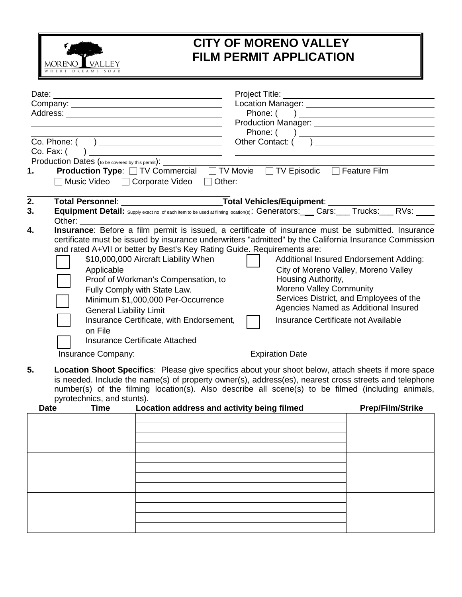

## **CITY OF MORENO VALLEY FILM PERMIT APPLICATION**

| 1.       | Co. Phone: (<br>$Co.$ Fax: $($                                                                                                                                                                                                                                                                                                                                                                | Production Dates (to be covered by this permit): ___    | □ TV Movie<br><b>Production Type:</b> □ TV Commercial                                                                                                                                                                                                                                                                                                                                                                                                                                                                      |  | □ TV Episodic □ Feature Film                                                                                                 | Production Manager: _____________________________<br>Other Contact: ( )                                                   |
|----------|-----------------------------------------------------------------------------------------------------------------------------------------------------------------------------------------------------------------------------------------------------------------------------------------------------------------------------------------------------------------------------------------------|---------------------------------------------------------|----------------------------------------------------------------------------------------------------------------------------------------------------------------------------------------------------------------------------------------------------------------------------------------------------------------------------------------------------------------------------------------------------------------------------------------------------------------------------------------------------------------------------|--|------------------------------------------------------------------------------------------------------------------------------|---------------------------------------------------------------------------------------------------------------------------|
| 2.<br>3. | Music Video □ Corporate Video<br>Other:<br>Equipment Detail: Supply exact no. of each item to be used at filming location(s).: Generators:___Cars:___Trucks:___RVs: __<br>Other:                                                                                                                                                                                                              |                                                         |                                                                                                                                                                                                                                                                                                                                                                                                                                                                                                                            |  |                                                                                                                              |                                                                                                                           |
| 4.       |                                                                                                                                                                                                                                                                                                                                                                                               | Applicable<br><b>General Liability Limit</b><br>on File | Insurance: Before a film permit is issued, a certificate of insurance must be submitted. Insurance<br>certificate must be issued by insurance underwriters "admitted" by the California Insurance Commission<br>and rated A+VII or better by Best's Key Rating Guide. Requirements are:<br>\$10,000,000 Aircraft Liability When<br>Proof of Workman's Compensation, to<br>Fully Comply with State Law.<br>Minimum \$1,000,000 Per-Occurrence<br>Insurance Certificate, with Endorsement,<br>Insurance Certificate Attached |  | City of Moreno Valley, Moreno Valley<br>Housing Authority,<br>Moreno Valley Community<br>Insurance Certificate not Available | Additional Insured Endorsement Adding:<br>Services District, and Employees of the<br>Agencies Named as Additional Insured |
|          |                                                                                                                                                                                                                                                                                                                                                                                               | Insurance Company:                                      |                                                                                                                                                                                                                                                                                                                                                                                                                                                                                                                            |  | <b>Expiration Date</b>                                                                                                       |                                                                                                                           |
| 5.       | Location Shoot Specifics: Please give specifics about your shoot below, attach sheets if more space<br>is needed. Include the name(s) of property owner(s), address(es), nearest cross streets and telephone<br>number(s) of the filming location(s). Also describe all scene(s) to be filmed (including animals,<br>pyrotechnics, and stunts).<br>Location address and activity being filmed |                                                         |                                                                                                                                                                                                                                                                                                                                                                                                                                                                                                                            |  |                                                                                                                              |                                                                                                                           |
|          | <b>Date</b>                                                                                                                                                                                                                                                                                                                                                                                   | <b>Time</b>                                             |                                                                                                                                                                                                                                                                                                                                                                                                                                                                                                                            |  |                                                                                                                              | <b>Prep/Film/Strike</b>                                                                                                   |
|          |                                                                                                                                                                                                                                                                                                                                                                                               |                                                         |                                                                                                                                                                                                                                                                                                                                                                                                                                                                                                                            |  |                                                                                                                              |                                                                                                                           |